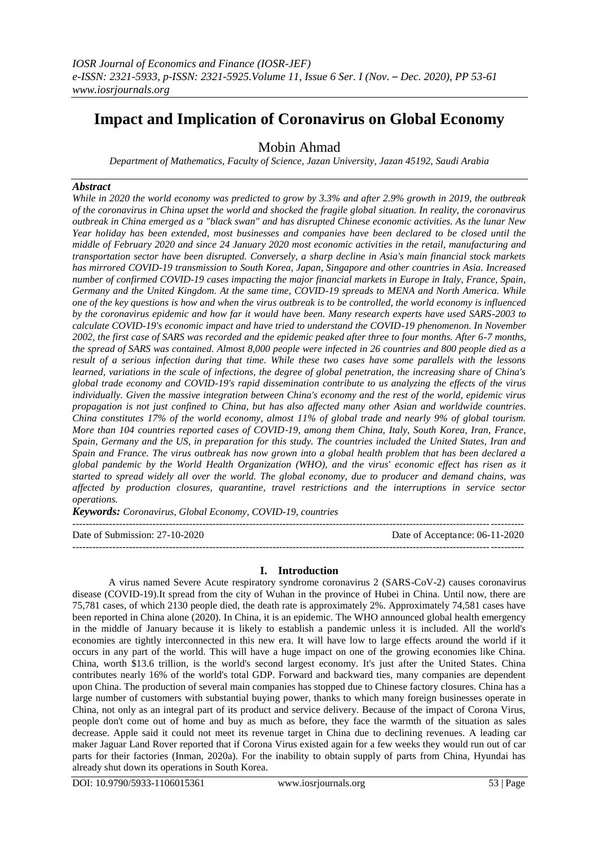# **Impact and Implication of Coronavirus on Global Economy**

# Mobin Ahmad

*Department of Mathematics, Faculty of Science, Jazan University, Jazan 45192, Saudi Arabia*

#### *Abstract*

*While in 2020 the world economy was predicted to grow by 3.3% and after 2.9% growth in 2019, the outbreak of the coronavirus in China upset the world and shocked the fragile global situation. In reality, the coronavirus outbreak in China emerged as a "black swan" and has disrupted Chinese economic activities. As the lunar New Year holiday has been extended, most businesses and companies have been declared to be closed until the middle of February 2020 and since 24 January 2020 most economic activities in the retail, manufacturing and transportation sector have been disrupted. Conversely, a sharp decline in Asia's main financial stock markets has mirrored COVID-19 transmission to South Korea, Japan, Singapore and other countries in Asia. Increased number of confirmed COVID-19 cases impacting the major financial markets in Europe in Italy, France, Spain, Germany and the United Kingdom. At the same time, COVID-19 spreads to MENA and North America. While one of the key questions is how and when the virus outbreak is to be controlled, the world economy is influenced by the coronavirus epidemic and how far it would have been. Many research experts have used SARS-2003 to calculate COVID-19's economic impact and have tried to understand the COVID-19 phenomenon. In November 2002, the first case of SARS was recorded and the epidemic peaked after three to four months. After 6-7 months, the spread of SARS was contained. Almost 8,000 people were infected in 26 countries and 800 people died as a result of a serious infection during that time. While these two cases have some parallels with the lessons learned, variations in the scale of infections, the degree of global penetration, the increasing share of China's global trade economy and COVID-19's rapid dissemination contribute to us analyzing the effects of the virus individually. Given the massive integration between China's economy and the rest of the world, epidemic virus propagation is not just confined to China, but has also affected many other Asian and worldwide countries. China constitutes 17% of the world economy, almost 11% of global trade and nearly 9% of global tourism. More than 104 countries reported cases of COVID-19, among them China, Italy, South Korea, Iran, France, Spain, Germany and the US, in preparation for this study. The countries included the United States, Iran and Spain and France. The virus outbreak has now grown into a global health problem that has been declared a global pandemic by the World Health Organization (WHO), and the virus' economic effect has risen as it started to spread widely all over the world. The global economy, due to producer and demand chains, was affected by production closures, quarantine, travel restrictions and the interruptions in service sector operations.*

*Keywords: Coronavirus, Global Economy, COVID-19, countries*

--------------------------------------------------------------------------------------------------------------------------------------- Date of Submission: 27-10-2020 Date of Acceptance: 06-11-2020 ---------------------------------------------------------------------------------------------------------------------------------------

# **I. Introduction**

A virus named Severe Acute respiratory syndrome coronavirus 2 (SARS-CoV-2) causes coronavirus disease (COVID-19).It spread from the city of Wuhan in the province of Hubei in China. Until now, there are 75,781 cases, of which 2130 people died, the death rate is approximately 2%. Approximately 74,581 cases have been reported in China alone (2020). In China, it is an epidemic. The WHO announced global health emergency in the middle of January because it is likely to establish a pandemic unless it is included. All the world's economies are tightly interconnected in this new era. It will have low to large effects around the world if it occurs in any part of the world. This will have a huge impact on one of the growing economies like China. China, worth \$13.6 trillion, is the world's second largest economy. It's just after the United States. China contributes nearly 16% of the world's total GDP. Forward and backward ties, many companies are dependent upon China. The production of several main companies has stopped due to Chinese factory closures. China has a large number of customers with substantial buying power, thanks to which many foreign businesses operate in China, not only as an integral part of its product and service delivery. Because of the impact of Corona Virus, people don't come out of home and buy as much as before, they face the warmth of the situation as sales decrease. Apple said it could not meet its revenue target in China due to declining revenues. A leading car maker Jaguar Land Rover reported that if Corona Virus existed again for a few weeks they would run out of car parts for their factories (Inman, 2020a). For the inability to obtain supply of parts from China, Hyundai has already shut down its operations in South Korea.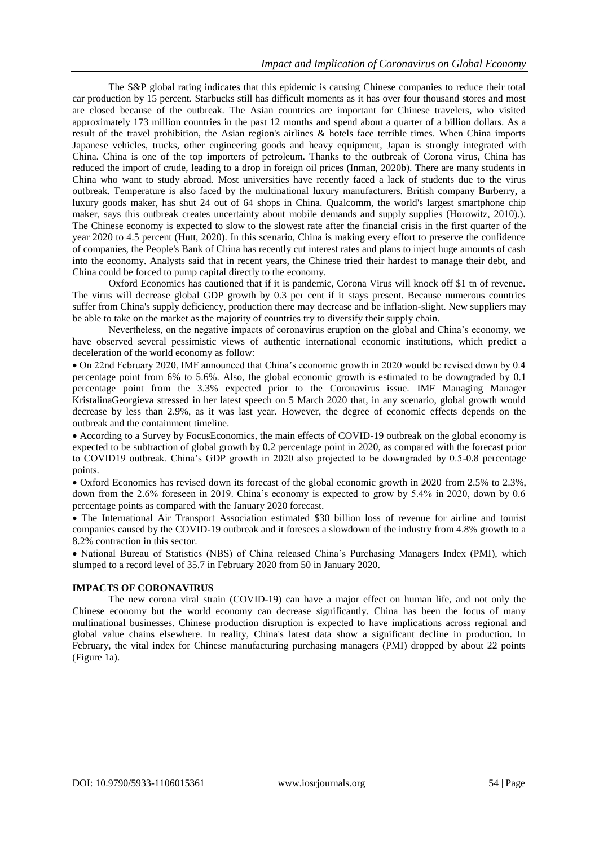The S&P global rating indicates that this epidemic is causing Chinese companies to reduce their total car production by 15 percent. Starbucks still has difficult moments as it has over four thousand stores and most are closed because of the outbreak. The Asian countries are important for Chinese travelers, who visited approximately 173 million countries in the past 12 months and spend about a quarter of a billion dollars. As a result of the travel prohibition, the Asian region's airlines & hotels face terrible times. When China imports Japanese vehicles, trucks, other engineering goods and heavy equipment, Japan is strongly integrated with China. China is one of the top importers of petroleum. Thanks to the outbreak of Corona virus, China has reduced the import of crude, leading to a drop in foreign oil prices (Inman, 2020b). There are many students in China who want to study abroad. Most universities have recently faced a lack of students due to the virus outbreak. Temperature is also faced by the multinational luxury manufacturers. British company Burberry, a luxury goods maker, has shut 24 out of 64 shops in China. Qualcomm, the world's largest smartphone chip maker, says this outbreak creates uncertainty about mobile demands and supply supplies (Horowitz, 2010).). The Chinese economy is expected to slow to the slowest rate after the financial crisis in the first quarter of the year 2020 to 4.5 percent (Hutt, 2020). In this scenario, China is making every effort to preserve the confidence of companies, the People's Bank of China has recently cut interest rates and plans to inject huge amounts of cash into the economy. Analysts said that in recent years, the Chinese tried their hardest to manage their debt, and China could be forced to pump capital directly to the economy.

Oxford Economics has cautioned that if it is pandemic, Corona Virus will knock off \$1 tn of revenue. The virus will decrease global GDP growth by 0.3 per cent if it stays present. Because numerous countries suffer from China's supply deficiency, production there may decrease and be inflation-slight. New suppliers may be able to take on the market as the majority of countries try to diversify their supply chain.

Nevertheless, on the negative impacts of coronavirus eruption on the global and China's economy, we have observed several pessimistic views of authentic international economic institutions, which predict a deceleration of the world economy as follow:

 On 22nd February 2020, IMF announced that China's economic growth in 2020 would be revised down by 0.4 percentage point from 6% to 5.6%. Also, the global economic growth is estimated to be downgraded by 0.1 percentage point from the 3.3% expected prior to the Coronavirus issue. IMF Managing Manager KristalinaGeorgieva stressed in her latest speech on 5 March 2020 that, in any scenario, global growth would decrease by less than 2.9%, as it was last year. However, the degree of economic effects depends on the outbreak and the containment timeline.

 According to a Survey by FocusEconomics, the main effects of COVID-19 outbreak on the global economy is expected to be subtraction of global growth by 0.2 percentage point in 2020, as compared with the forecast prior to COVID19 outbreak. China's GDP growth in 2020 also projected to be downgraded by 0.5-0.8 percentage points.

 Oxford Economics has revised down its forecast of the global economic growth in 2020 from 2.5% to 2.3%, down from the 2.6% foreseen in 2019. China's economy is expected to grow by 5.4% in 2020, down by 0.6 percentage points as compared with the January 2020 forecast.

 The International Air Transport Association estimated \$30 billion loss of revenue for airline and tourist companies caused by the COVID-19 outbreak and it foresees a slowdown of the industry from 4.8% growth to a 8.2% contraction in this sector.

• National Bureau of Statistics (NBS) of China released China's Purchasing Managers Index (PMI), which slumped to a record level of 35.7 in February 2020 from 50 in January 2020.

# **IMPACTS OF CORONAVIRUS**

The new corona viral strain (COVID-19) can have a major effect on human life, and not only the Chinese economy but the world economy can decrease significantly. China has been the focus of many multinational businesses. Chinese production disruption is expected to have implications across regional and global value chains elsewhere. In reality, China's latest data show a significant decline in production. In February, the vital index for Chinese manufacturing purchasing managers (PMI) dropped by about 22 points (Figure 1a).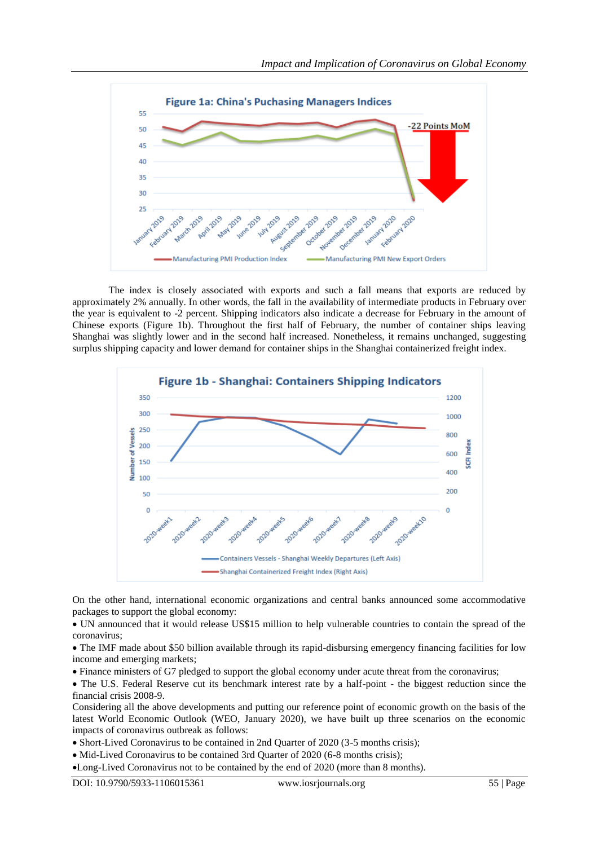

The index is closely associated with exports and such a fall means that exports are reduced by approximately 2% annually. In other words, the fall in the availability of intermediate products in February over the year is equivalent to -2 percent. Shipping indicators also indicate a decrease for February in the amount of Chinese exports (Figure 1b). Throughout the first half of February, the number of container ships leaving Shanghai was slightly lower and in the second half increased. Nonetheless, it remains unchanged, suggesting surplus shipping capacity and lower demand for container ships in the Shanghai containerized freight index.



On the other hand, international economic organizations and central banks announced some accommodative packages to support the global economy:

 UN announced that it would release US\$15 million to help vulnerable countries to contain the spread of the coronavirus;

 The IMF made about \$50 billion available through its rapid-disbursing emergency financing facilities for low income and emerging markets;

Finance ministers of G7 pledged to support the global economy under acute threat from the coronavirus;

• The U.S. Federal Reserve cut its benchmark interest rate by a half-point - the biggest reduction since the financial crisis 2008-9.

Considering all the above developments and putting our reference point of economic growth on the basis of the latest World Economic Outlook (WEO, January 2020), we have built up three scenarios on the economic impacts of coronavirus outbreak as follows:

• Short-Lived Coronavirus to be contained in 2nd Quarter of 2020 (3-5 months crisis);

• Mid-Lived Coronavirus to be contained 3rd Quarter of 2020 (6-8 months crisis);

Long-Lived Coronavirus not to be contained by the end of 2020 (more than 8 months).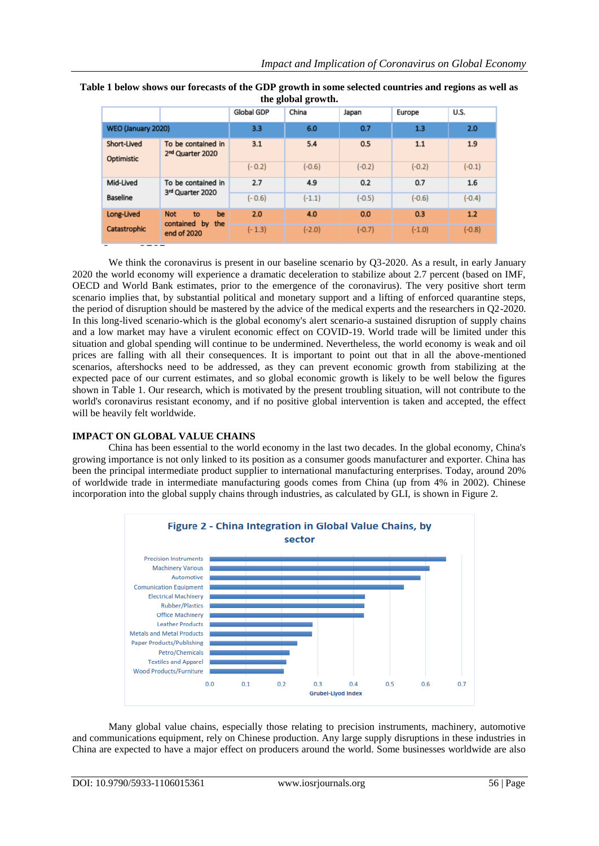|                           |                                                           | Global GDP | China    | Japan    | Europe   | U.S.     |
|---------------------------|-----------------------------------------------------------|------------|----------|----------|----------|----------|
| WEO (January 2020)        |                                                           | 3.3        | 6.0      | 0.7      | 1.3      | 2.0      |
| Short-Lived<br>Optimistic | To be contained in<br>2 <sup>nd</sup> Quarter 2020        | 3.1        | 5.4      | 0.5      | 1.1      | 1.9      |
|                           |                                                           | $(-0.2)$   | $(-0.6)$ | $(-0.2)$ | $(-0.2)$ | $(-0.1)$ |
| Mid-Lived                 | To be contained in<br>3rd Quarter 2020                    | 2.7        | 4.9      | 0.2      | 0.7      | 1.6      |
| Baseline                  |                                                           | $(-0.6)$   | $(-1.1)$ | $(-0.5)$ | $(-0.6)$ | $(-0.4)$ |
| Long-Lived                | be<br><b>Not</b><br>to<br>contained by the<br>end of 2020 | 2.0        | 4.0      | 0.0      | 0.3      | 1.2      |
| Catastrophic              |                                                           | $(-1.3)$   | $(-2.0)$ | $(-0.7)$ | $(-1.0)$ | $(-0.8)$ |

**Table 1 below shows our forecasts of the GDP growth in some selected countries and regions as well as the global growth.**

We think the coronavirus is present in our baseline scenario by O3-2020. As a result, in early January 2020 the world economy will experience a dramatic deceleration to stabilize about 2.7 percent (based on IMF, OECD and World Bank estimates, prior to the emergence of the coronavirus). The very positive short term scenario implies that, by substantial political and monetary support and a lifting of enforced quarantine steps, the period of disruption should be mastered by the advice of the medical experts and the researchers in Q2-2020. In this long-lived scenario-which is the global economy's alert scenario-a sustained disruption of supply chains and a low market may have a virulent economic effect on COVID-19. World trade will be limited under this situation and global spending will continue to be undermined. Nevertheless, the world economy is weak and oil prices are falling with all their consequences. It is important to point out that in all the above-mentioned scenarios, aftershocks need to be addressed, as they can prevent economic growth from stabilizing at the expected pace of our current estimates, and so global economic growth is likely to be well below the figures shown in Table 1. Our research, which is motivated by the present troubling situation, will not contribute to the world's coronavirus resistant economy, and if no positive global intervention is taken and accepted, the effect will be heavily felt worldwide.

#### **IMPACT ON GLOBAL VALUE CHAINS**

China has been essential to the world economy in the last two decades. In the global economy, China's growing importance is not only linked to its position as a consumer goods manufacturer and exporter. China has been the principal intermediate product supplier to international manufacturing enterprises. Today, around 20% of worldwide trade in intermediate manufacturing goods comes from China (up from 4% in 2002). Chinese incorporation into the global supply chains through industries, as calculated by GLI, is shown in Figure 2.



Many global value chains, especially those relating to precision instruments, machinery, automotive and communications equipment, rely on Chinese production. Any large supply disruptions in these industries in China are expected to have a major effect on producers around the world. Some businesses worldwide are also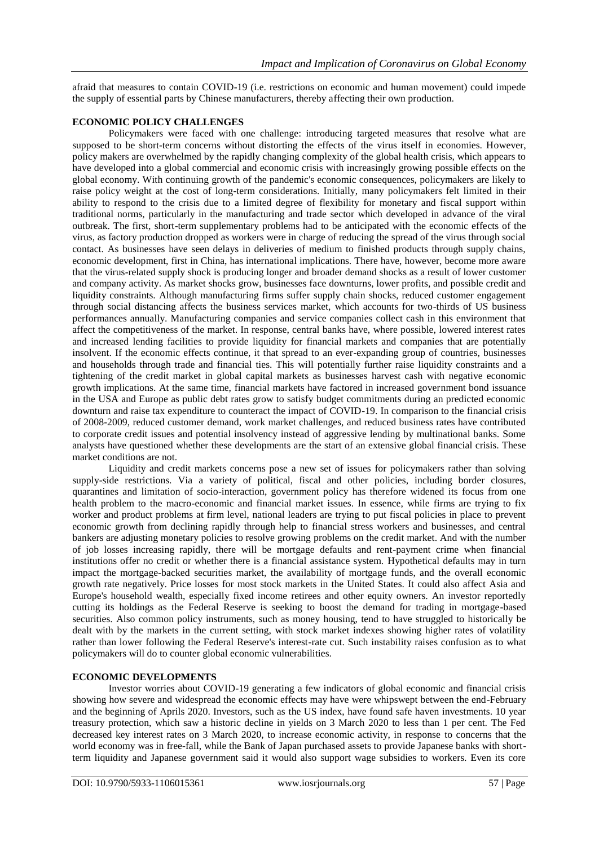afraid that measures to contain COVID-19 (i.e. restrictions on economic and human movement) could impede the supply of essential parts by Chinese manufacturers, thereby affecting their own production.

#### **ECONOMIC POLICY CHALLENGES**

Policymakers were faced with one challenge: introducing targeted measures that resolve what are supposed to be short-term concerns without distorting the effects of the virus itself in economies. However, policy makers are overwhelmed by the rapidly changing complexity of the global health crisis, which appears to have developed into a global commercial and economic crisis with increasingly growing possible effects on the global economy. With continuing growth of the pandemic's economic consequences, policymakers are likely to raise policy weight at the cost of long-term considerations. Initially, many policymakers felt limited in their ability to respond to the crisis due to a limited degree of flexibility for monetary and fiscal support within traditional norms, particularly in the manufacturing and trade sector which developed in advance of the viral outbreak. The first, short-term supplementary problems had to be anticipated with the economic effects of the virus, as factory production dropped as workers were in charge of reducing the spread of the virus through social contact. As businesses have seen delays in deliveries of medium to finished products through supply chains, economic development, first in China, has international implications. There have, however, become more aware that the virus-related supply shock is producing longer and broader demand shocks as a result of lower customer and company activity. As market shocks grow, businesses face downturns, lower profits, and possible credit and liquidity constraints. Although manufacturing firms suffer supply chain shocks, reduced customer engagement through social distancing affects the business services market, which accounts for two-thirds of US business performances annually. Manufacturing companies and service companies collect cash in this environment that affect the competitiveness of the market. In response, central banks have, where possible, lowered interest rates and increased lending facilities to provide liquidity for financial markets and companies that are potentially insolvent. If the economic effects continue, it that spread to an ever-expanding group of countries, businesses and households through trade and financial ties. This will potentially further raise liquidity constraints and a tightening of the credit market in global capital markets as businesses harvest cash with negative economic growth implications. At the same time, financial markets have factored in increased government bond issuance in the USA and Europe as public debt rates grow to satisfy budget commitments during an predicted economic downturn and raise tax expenditure to counteract the impact of COVID-19. In comparison to the financial crisis of 2008-2009, reduced customer demand, work market challenges, and reduced business rates have contributed to corporate credit issues and potential insolvency instead of aggressive lending by multinational banks. Some analysts have questioned whether these developments are the start of an extensive global financial crisis. These market conditions are not.

Liquidity and credit markets concerns pose a new set of issues for policymakers rather than solving supply-side restrictions. Via a variety of political, fiscal and other policies, including border closures, quarantines and limitation of socio-interaction, government policy has therefore widened its focus from one health problem to the macro-economic and financial market issues. In essence, while firms are trying to fix worker and product problems at firm level, national leaders are trying to put fiscal policies in place to prevent economic growth from declining rapidly through help to financial stress workers and businesses, and central bankers are adjusting monetary policies to resolve growing problems on the credit market. And with the number of job losses increasing rapidly, there will be mortgage defaults and rent-payment crime when financial institutions offer no credit or whether there is a financial assistance system. Hypothetical defaults may in turn impact the mortgage-backed securities market, the availability of mortgage funds, and the overall economic growth rate negatively. Price losses for most stock markets in the United States. It could also affect Asia and Europe's household wealth, especially fixed income retirees and other equity owners. An investor reportedly cutting its holdings as the Federal Reserve is seeking to boost the demand for trading in mortgage-based securities. Also common policy instruments, such as money housing, tend to have struggled to historically be dealt with by the markets in the current setting, with stock market indexes showing higher rates of volatility rather than lower following the Federal Reserve's interest-rate cut. Such instability raises confusion as to what policymakers will do to counter global economic vulnerabilities.

# **ECONOMIC DEVELOPMENTS**

Investor worries about COVID-19 generating a few indicators of global economic and financial crisis showing how severe and widespread the economic effects may have were whipswept between the end-February and the beginning of Aprils 2020. Investors, such as the US index, have found safe haven investments. 10 year treasury protection, which saw a historic decline in yields on 3 March 2020 to less than 1 per cent. The Fed decreased key interest rates on 3 March 2020, to increase economic activity, in response to concerns that the world economy was in free-fall, while the Bank of Japan purchased assets to provide Japanese banks with shortterm liquidity and Japanese government said it would also support wage subsidies to workers. Even its core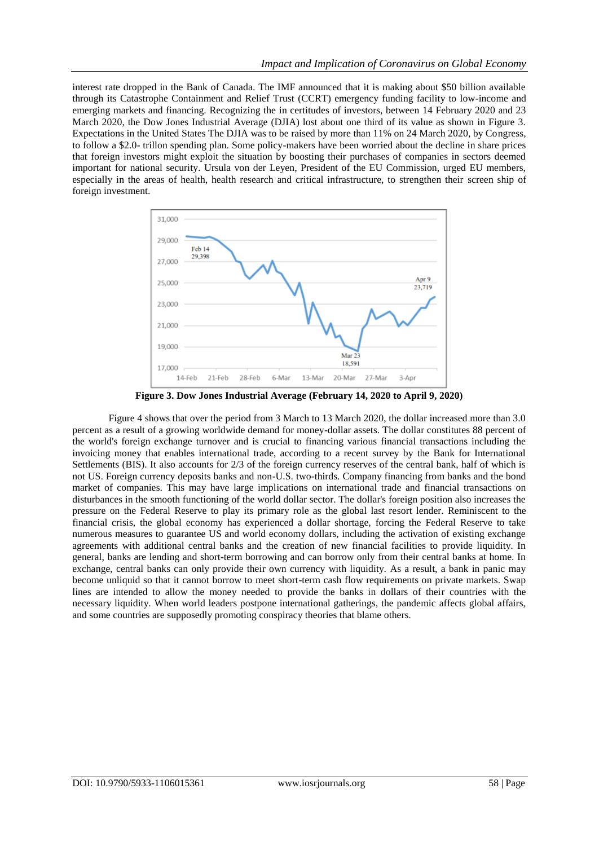interest rate dropped in the Bank of Canada. The IMF announced that it is making about \$50 billion available through its Catastrophe Containment and Relief Trust (CCRT) emergency funding facility to low-income and emerging markets and financing. Recognizing the in certitudes of investors, between 14 February 2020 and 23 March 2020, the Dow Jones Industrial Average (DJIA) lost about one third of its value as shown in Figure 3. Expectations in the United States The DJIA was to be raised by more than 11% on 24 March 2020, by Congress, to follow a \$2.0- trillon spending plan. Some policy-makers have been worried about the decline in share prices that foreign investors might exploit the situation by boosting their purchases of companies in sectors deemed important for national security. Ursula von der Leyen, President of the EU Commission, urged EU members, especially in the areas of health, health research and critical infrastructure, to strengthen their screen ship of foreign investment.



**Figure 3. Dow Jones Industrial Average (February 14, 2020 to April 9, 2020)**

Figure 4 shows that over the period from 3 March to 13 March 2020, the dollar increased more than 3.0 percent as a result of a growing worldwide demand for money-dollar assets. The dollar constitutes 88 percent of the world's foreign exchange turnover and is crucial to financing various financial transactions including the invoicing money that enables international trade, according to a recent survey by the Bank for International Settlements (BIS). It also accounts for 2/3 of the foreign currency reserves of the central bank, half of which is not US. Foreign currency deposits banks and non-U.S. two-thirds. Company financing from banks and the bond market of companies. This may have large implications on international trade and financial transactions on disturbances in the smooth functioning of the world dollar sector. The dollar's foreign position also increases the pressure on the Federal Reserve to play its primary role as the global last resort lender. Reminiscent to the financial crisis, the global economy has experienced a dollar shortage, forcing the Federal Reserve to take numerous measures to guarantee US and world economy dollars, including the activation of existing exchange agreements with additional central banks and the creation of new financial facilities to provide liquidity. In general, banks are lending and short-term borrowing and can borrow only from their central banks at home. In exchange, central banks can only provide their own currency with liquidity. As a result, a bank in panic may become unliquid so that it cannot borrow to meet short-term cash flow requirements on private markets. Swap lines are intended to allow the money needed to provide the banks in dollars of their countries with the necessary liquidity. When world leaders postpone international gatherings, the pandemic affects global affairs, and some countries are supposedly promoting conspiracy theories that blame others.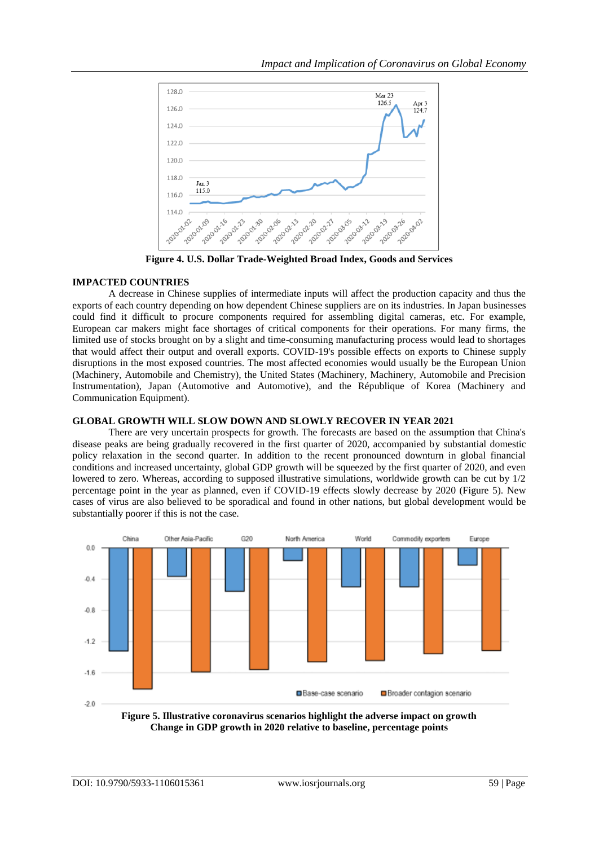

**Figure 4. U.S. Dollar Trade-Weighted Broad Index, Goods and Services**

# **IMPACTED COUNTRIES**

A decrease in Chinese supplies of intermediate inputs will affect the production capacity and thus the exports of each country depending on how dependent Chinese suppliers are on its industries. In Japan businesses could find it difficult to procure components required for assembling digital cameras, etc. For example, European car makers might face shortages of critical components for their operations. For many firms, the limited use of stocks brought on by a slight and time-consuming manufacturing process would lead to shortages that would affect their output and overall exports. COVID-19's possible effects on exports to Chinese supply disruptions in the most exposed countries. The most affected economies would usually be the European Union (Machinery, Automobile and Chemistry), the United States (Machinery, Machinery, Automobile and Precision Instrumentation), Japan (Automotive and Automotive), and the République of Korea (Machinery and Communication Equipment).

# **GLOBAL GROWTH WILL SLOW DOWN AND SLOWLY RECOVER IN YEAR 2021**

There are very uncertain prospects for growth. The forecasts are based on the assumption that China's disease peaks are being gradually recovered in the first quarter of 2020, accompanied by substantial domestic policy relaxation in the second quarter. In addition to the recent pronounced downturn in global financial conditions and increased uncertainty, global GDP growth will be squeezed by the first quarter of 2020, and even lowered to zero. Whereas, according to supposed illustrative simulations, worldwide growth can be cut by 1/2 percentage point in the year as planned, even if COVID-19 effects slowly decrease by 2020 (Figure 5). New cases of virus are also believed to be sporadical and found in other nations, but global development would be substantially poorer if this is not the case.



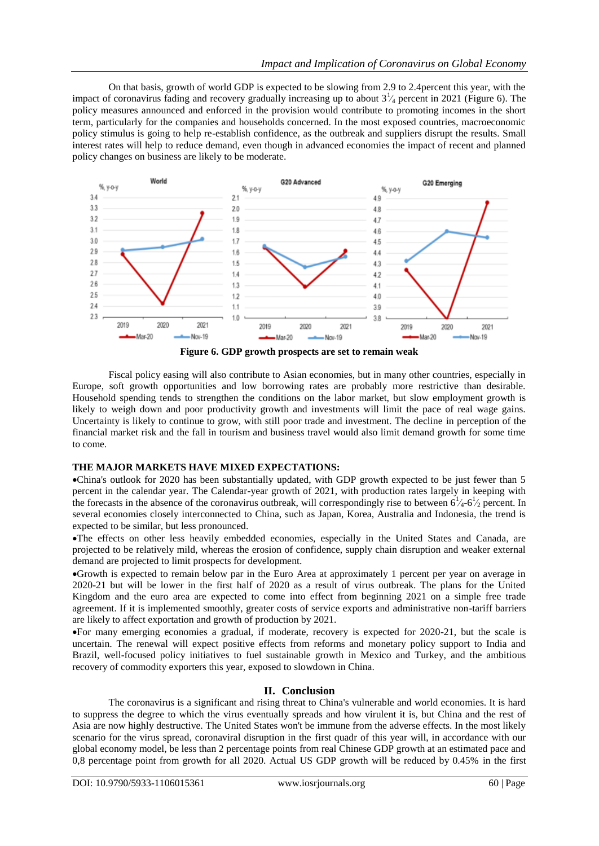On that basis, growth of world GDP is expected to be slowing from 2.9 to 2.4percent this year, with the impact of coronavirus fading and recovery gradually increasing up to about  $3\frac{1}{4}$  percent in 2021 (Figure 6). The policy measures announced and enforced in the provision would contribute to promoting incomes in the short term, particularly for the companies and households concerned. In the most exposed countries, macroeconomic policy stimulus is going to help re-establish confidence, as the outbreak and suppliers disrupt the results. Small interest rates will help to reduce demand, even though in advanced economies the impact of recent and planned policy changes on business are likely to be moderate.



Fiscal policy easing will also contribute to Asian economies, but in many other countries, especially in Europe, soft growth opportunities and low borrowing rates are probably more restrictive than desirable. Household spending tends to strengthen the conditions on the labor market, but slow employment growth is likely to weigh down and poor productivity growth and investments will limit the pace of real wage gains. Uncertainty is likely to continue to grow, with still poor trade and investment. The decline in perception of the financial market risk and the fall in tourism and business travel would also limit demand growth for some time to come.

#### **THE MAJOR MARKETS HAVE MIXED EXPECTATIONS:**

China's outlook for 2020 has been substantially updated, with GDP growth expected to be just fewer than 5 percent in the calendar year. The Calendar-year growth of 2021, with production rates largely in keeping with the forecasts in the absence of the coronavirus outbreak, will correspondingly rise to between  $6\frac{1}{4} - 6\frac{1}{2}$  percent. In several economies closely interconnected to China, such as Japan, Korea, Australia and Indonesia, the trend is expected to be similar, but less pronounced.

The effects on other less heavily embedded economies, especially in the United States and Canada, are projected to be relatively mild, whereas the erosion of confidence, supply chain disruption and weaker external demand are projected to limit prospects for development.

Growth is expected to remain below par in the Euro Area at approximately 1 percent per year on average in 2020-21 but will be lower in the first half of 2020 as a result of virus outbreak. The plans for the United Kingdom and the euro area are expected to come into effect from beginning 2021 on a simple free trade agreement. If it is implemented smoothly, greater costs of service exports and administrative non-tariff barriers are likely to affect exportation and growth of production by 2021.

For many emerging economies a gradual, if moderate, recovery is expected for 2020-21, but the scale is uncertain. The renewal will expect positive effects from reforms and monetary policy support to India and Brazil, well-focused policy initiatives to fuel sustainable growth in Mexico and Turkey, and the ambitious recovery of commodity exporters this year, exposed to slowdown in China.

#### **II. Conclusion**

The coronavirus is a significant and rising threat to China's vulnerable and world economies. It is hard to suppress the degree to which the virus eventually spreads and how virulent it is, but China and the rest of Asia are now highly destructive. The United States won't be immune from the adverse effects. In the most likely scenario for the virus spread, coronaviral disruption in the first quadr of this year will, in accordance with our global economy model, be less than 2 percentage points from real Chinese GDP growth at an estimated pace and 0,8 percentage point from growth for all 2020. Actual US GDP growth will be reduced by 0.45% in the first